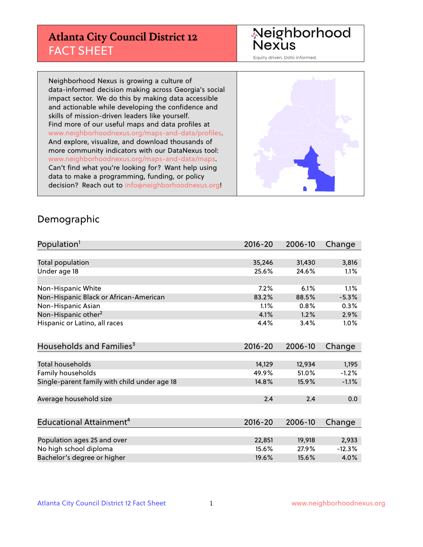# **Atlanta City Council District 12** FACT SHEET

# Neighborhood<br>Nexus

Equity driven. Data informed.

Neighborhood Nexus is growing a culture of data-informed decision making across Georgia's social impact sector. We do this by making data accessible and actionable while developing the confidence and skills of mission-driven leaders like yourself. Find more of our useful maps and data profiles at www.neighborhoodnexus.org/maps-and-data/profiles. And explore, visualize, and download thousands of more community indicators with our DataNexus tool: www.neighborhoodnexus.org/maps-and-data/maps. Can't find what you're looking for? Want help using data to make a programming, funding, or policy decision? Reach out to [info@neighborhoodnexus.org!](mailto:info@neighborhoodnexus.org)



#### Demographic

| Population <sup>1</sup>                      | $2016 - 20$ | 2006-10 | Change   |
|----------------------------------------------|-------------|---------|----------|
|                                              |             |         |          |
| Total population                             | 35,246      | 31,430  | 3,816    |
| Under age 18                                 | 25.6%       | 24.6%   | 1.1%     |
|                                              |             |         |          |
| Non-Hispanic White                           | 7.2%        | 6.1%    | 1.1%     |
| Non-Hispanic Black or African-American       | 83.2%       | 88.5%   | $-5.3%$  |
| Non-Hispanic Asian                           | 1.1%        | 0.8%    | 0.3%     |
| Non-Hispanic other <sup>2</sup>              | 4.1%        | 1.2%    | 2.9%     |
| Hispanic or Latino, all races                | 4.4%        | 3.4%    | 1.0%     |
|                                              |             |         |          |
| Households and Families <sup>3</sup>         | $2016 - 20$ | 2006-10 | Change   |
|                                              |             |         |          |
| <b>Total households</b>                      | 14,129      | 12,934  | 1,195    |
| Family households                            | 49.9%       | 51.0%   | $-1.2%$  |
| Single-parent family with child under age 18 | 14.8%       | 15.9%   | $-1.1%$  |
|                                              |             |         |          |
| Average household size                       | 2.4         | 2.4     | 0.0      |
|                                              |             |         |          |
| Educational Attainment <sup>4</sup>          | 2016-20     | 2006-10 | Change   |
|                                              |             |         |          |
| Population ages 25 and over                  | 22,851      | 19,918  | 2,933    |
| No high school diploma                       | 15.6%       | 27.9%   | $-12.3%$ |
| Bachelor's degree or higher                  | 19.6%       | 15.6%   | 4.0%     |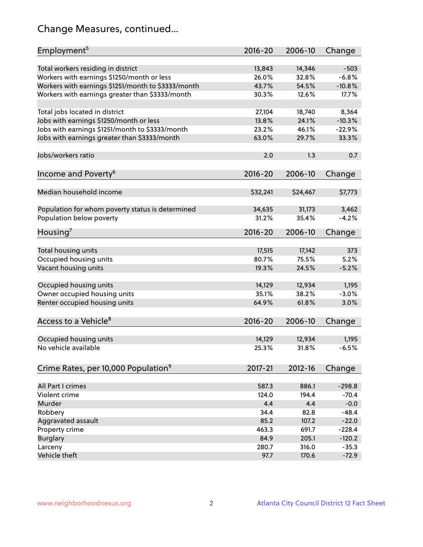# Change Measures, continued...

| Employment <sup>5</sup>                            | $2016 - 20$ | 2006-10  | Change   |
|----------------------------------------------------|-------------|----------|----------|
| Total workers residing in district                 | 13,843      | 14,346   | $-503$   |
| Workers with earnings \$1250/month or less         | 26.0%       | 32.8%    | $-6.8%$  |
| Workers with earnings \$1251/month to \$3333/month | 43.7%       | 54.5%    | $-10.8%$ |
| Workers with earnings greater than \$3333/month    | 30.3%       | 12.6%    | 17.7%    |
|                                                    |             |          |          |
| Total jobs located in district                     | 27,104      | 18,740   | 8,364    |
| Jobs with earnings \$1250/month or less            | 13.8%       | 24.1%    | $-10.3%$ |
| Jobs with earnings \$1251/month to \$3333/month    | 23.2%       | 46.1%    | $-22.9%$ |
| Jobs with earnings greater than \$3333/month       | 63.0%       | 29.7%    | 33.3%    |
|                                                    |             |          |          |
| Jobs/workers ratio                                 | 2.0         | 1.3      | 0.7      |
|                                                    |             |          |          |
| Income and Poverty <sup>6</sup>                    | $2016 - 20$ | 2006-10  | Change   |
|                                                    |             |          |          |
| Median household income                            | \$32,241    | \$24,467 | \$7,773  |
|                                                    |             |          |          |
| Population for whom poverty status is determined   | 34,635      | 31,173   | 3,462    |
| Population below poverty                           | 31.2%       | 35.4%    | $-4.2%$  |
| Housing <sup>7</sup>                               | $2016 - 20$ | 2006-10  | Change   |
|                                                    |             |          |          |
| Total housing units                                | 17,515      | 17,142   | 373      |
| Occupied housing units                             | 80.7%       | 75.5%    | 5.2%     |
| Vacant housing units                               | 19.3%       | 24.5%    | $-5.2%$  |
|                                                    |             |          |          |
| Occupied housing units                             | 14,129      | 12,934   | 1,195    |
| Owner occupied housing units                       | 35.1%       | 38.2%    | $-3.0%$  |
| Renter occupied housing units                      | 64.9%       | 61.8%    | 3.0%     |
|                                                    |             |          |          |
| Access to a Vehicle <sup>8</sup>                   | $2016 - 20$ | 2006-10  | Change   |
|                                                    |             |          |          |
| Occupied housing units                             | 14,129      | 12,934   | 1,195    |
| No vehicle available                               | 25.3%       | 31.8%    | $-6.5%$  |
|                                                    |             |          |          |
| Crime Rates, per 10,000 Population <sup>9</sup>    | $2017 - 21$ | 2012-16  | Change   |
|                                                    |             |          |          |
| All Part I crimes                                  | 587.3       | 886.1    | $-298.8$ |
| Violent crime                                      | 124.0       | 194.4    | $-70.4$  |
| Murder                                             | 4.4         | 4.4      | $-0.0$   |
| Robbery                                            | 34.4        | 82.8     | $-48.4$  |
| Aggravated assault                                 | 85.2        | 107.2    | $-22.0$  |
| Property crime                                     | 463.3       | 691.7    | $-228.4$ |
| <b>Burglary</b>                                    | 84.9        | 205.1    | $-120.2$ |
| Larceny                                            | 280.7       | 316.0    | $-35.3$  |
| Vehicle theft                                      | 97.7        | 170.6    | $-72.9$  |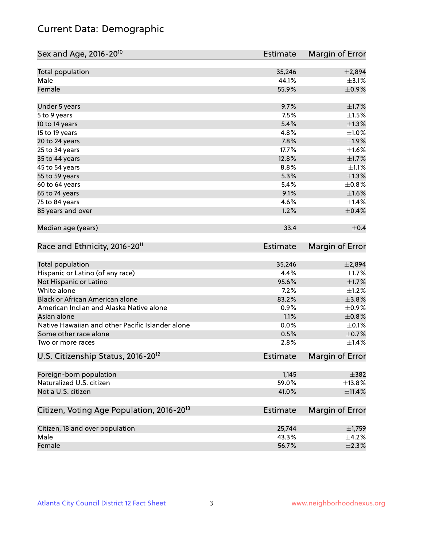# Current Data: Demographic

| Sex and Age, 2016-20 <sup>10</sup>                    | Estimate        | Margin of Error |
|-------------------------------------------------------|-----------------|-----------------|
| Total population                                      | 35,246          | ±2,894          |
| Male                                                  | 44.1%           | $\pm$ 3.1%      |
| Female                                                | 55.9%           | $\pm$ 0.9%      |
| Under 5 years                                         | 9.7%            | $\pm1.7\%$      |
| 5 to 9 years                                          | 7.5%            | $\pm 1.5\%$     |
| 10 to 14 years                                        | 5.4%            | $\pm 1.3\%$     |
| 15 to 19 years                                        | 4.8%            | $\pm 1.0\%$     |
| 20 to 24 years                                        | 7.8%            | ±1.9%           |
| 25 to 34 years                                        | 17.7%           | $\pm1.6\%$      |
| 35 to 44 years                                        | 12.8%           | $\pm 1.7\%$     |
| 45 to 54 years                                        | 8.8%            | $\pm 1.1\%$     |
| 55 to 59 years                                        | 5.3%            | $\pm 1.3\%$     |
| 60 to 64 years                                        | 5.4%            | $\pm$ 0.8%      |
| 65 to 74 years                                        | 9.1%            | $\pm1.6\%$      |
| 75 to 84 years                                        | 4.6%            | ±1.4%           |
| 85 years and over                                     | 1.2%            | $\pm$ 0.4%      |
| Median age (years)                                    | 33.4            | $\pm$ 0.4       |
| Race and Ethnicity, 2016-20 <sup>11</sup>             | <b>Estimate</b> | Margin of Error |
| Total population                                      | 35,246          | ±2,894          |
| Hispanic or Latino (of any race)                      | 4.4%            | $\pm 1.7\%$     |
| Not Hispanic or Latino                                | 95.6%           | $\pm1.7\%$      |
| White alone                                           | 7.2%            | $\pm 1.2\%$     |
| Black or African American alone                       | 83.2%           | ±3.8%           |
| American Indian and Alaska Native alone               | 0.9%            | $\pm$ 0.9%      |
| Asian alone                                           | 1.1%            | $\pm$ 0.8%      |
| Native Hawaiian and other Pacific Islander alone      | 0.0%            | $\pm$ 0.1%      |
| Some other race alone                                 | 0.5%            | $\pm$ 0.7%      |
| Two or more races                                     | 2.8%            | $\pm$ 1.4%      |
| U.S. Citizenship Status, 2016-20 <sup>12</sup>        | <b>Estimate</b> | Margin of Error |
| Foreign-born population                               | 1,145           | $\pm$ 382       |
| Naturalized U.S. citizen                              | 59.0%           | ±13.8%          |
| Not a U.S. citizen                                    | 41.0%           | $\pm$ 11.4%     |
| Citizen, Voting Age Population, 2016-20 <sup>13</sup> | Estimate        | Margin of Error |
| Citizen, 18 and over population                       | 25,744          | $\pm$ 1,759     |
| Male                                                  | 43.3%           | $\pm$ 4.2%      |
| Female                                                | 56.7%           | $\pm 2.3\%$     |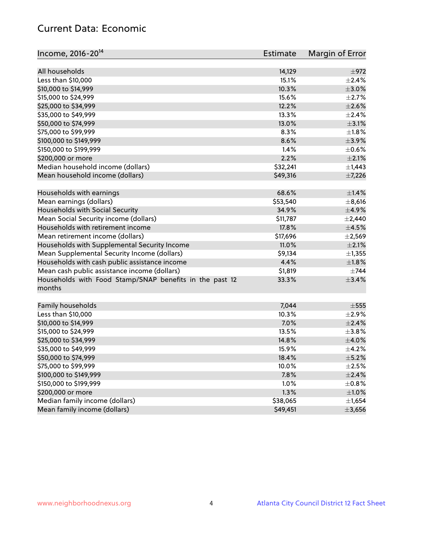# Current Data: Economic

| Income, 2016-20 <sup>14</sup>                           | <b>Estimate</b> | Margin of Error |
|---------------------------------------------------------|-----------------|-----------------|
| All households                                          | 14,129          | $\pm$ 972       |
| Less than \$10,000                                      | 15.1%           | $\pm 2.4\%$     |
| \$10,000 to \$14,999                                    | 10.3%           | $\pm$ 3.0%      |
| \$15,000 to \$24,999                                    | 15.6%           | $\pm 2.7\%$     |
|                                                         |                 |                 |
| \$25,000 to \$34,999                                    | 12.2%           | $\pm 2.6\%$     |
| \$35,000 to \$49,999                                    | 13.3%           | $\pm 2.4\%$     |
| \$50,000 to \$74,999                                    | 13.0%           | $\pm$ 3.1%      |
| \$75,000 to \$99,999                                    | 8.3%            | $\pm 1.8\%$     |
| \$100,000 to \$149,999                                  | 8.6%            | $\pm$ 3.9%      |
| \$150,000 to \$199,999                                  | 1.4%            | $\pm$ 0.6%      |
| \$200,000 or more                                       | 2.2%            | $\pm 2.1\%$     |
| Median household income (dollars)                       | \$32,241        | $\pm$ 1,443     |
| Mean household income (dollars)                         | \$49,316        | $\pm$ 7,226     |
| Households with earnings                                | 68.6%           | ±1.4%           |
| Mean earnings (dollars)                                 | \$53,540        | $\pm$ 8,616     |
| Households with Social Security                         | 34.9%           | $\pm$ 4.9%      |
| Mean Social Security income (dollars)                   | \$11,787        | $\pm 2,440$     |
| Households with retirement income                       | 17.8%           | $\pm$ 4.5%      |
| Mean retirement income (dollars)                        | \$17,696        | $\pm$ 2,569     |
| Households with Supplemental Security Income            | 11.0%           | $\pm 2.1\%$     |
| Mean Supplemental Security Income (dollars)             | \$9,134         | ±1,355          |
| Households with cash public assistance income           | 4.4%            | $\pm1.8\%$      |
| Mean cash public assistance income (dollars)            | \$1,819         | $\pm 744$       |
| Households with Food Stamp/SNAP benefits in the past 12 | 33.3%           | ±3.4%           |
| months                                                  |                 |                 |
| Family households                                       | 7,044           | $\pm$ 555       |
| Less than \$10,000                                      | 10.3%           | ±2.9%           |
| \$10,000 to \$14,999                                    | 7.0%            | $\pm 2.4\%$     |
| \$15,000 to \$24,999                                    | 13.5%           | $\pm$ 3.8%      |
| \$25,000 to \$34,999                                    | 14.8%           | $\pm$ 4.0%      |
| \$35,000 to \$49,999                                    | 15.9%           | $\pm$ 4.2%      |
| \$50,000 to \$74,999                                    | 18.4%           | $\pm$ 5.2%      |
| \$75,000 to \$99,999                                    | 10.0%           | $\pm 2.5\%$     |
| \$100,000 to \$149,999                                  | 7.8%            | $\pm 2.4\%$     |
| \$150,000 to \$199,999                                  | 1.0%            | $\pm$ 0.8%      |
| \$200,000 or more                                       | 1.3%            | $\pm 1.0\%$     |
| Median family income (dollars)                          | \$38,065        | $\pm$ 1,654     |
| Mean family income (dollars)                            | \$49,451        | ±3,656          |
|                                                         |                 |                 |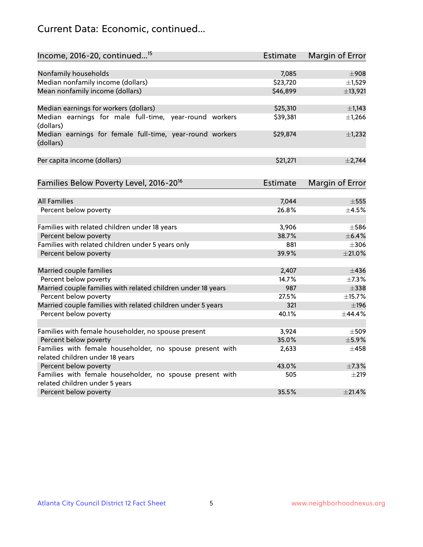# Current Data: Economic, continued...

| Income, 2016-20, continued <sup>15</sup>                                                   | <b>Estimate</b> | Margin of Error        |
|--------------------------------------------------------------------------------------------|-----------------|------------------------|
|                                                                                            |                 |                        |
| Nonfamily households                                                                       | 7,085           | $\pm$ 908              |
| Median nonfamily income (dollars)                                                          | \$23,720        | $\pm$ 1,529            |
| Mean nonfamily income (dollars)                                                            | \$46,899        | ±13,921                |
| Median earnings for workers (dollars)                                                      | \$25,310        | $\pm$ 1,143            |
| Median earnings for male full-time, year-round workers<br>(dollars)                        | \$39,381        | $\pm$ 1,266            |
| Median earnings for female full-time, year-round workers<br>(dollars)                      | \$29,874        | $\pm$ 1,232            |
| Per capita income (dollars)                                                                | \$21,271        | ±2,744                 |
| Families Below Poverty Level, 2016-20 <sup>16</sup>                                        | <b>Estimate</b> | <b>Margin of Error</b> |
|                                                                                            |                 |                        |
| <b>All Families</b>                                                                        | 7,044           | $\pm$ 555              |
| Percent below poverty                                                                      | 26.8%           | $\pm$ 4.5%             |
| Families with related children under 18 years                                              | 3,906           | $\pm$ 586              |
| Percent below poverty                                                                      | 38.7%           | $\pm$ 6.4%             |
| Families with related children under 5 years only                                          | 881             | $\pm 306$              |
| Percent below poverty                                                                      | 39.9%           | $\pm 21.0\%$           |
| Married couple families                                                                    | 2,407           | $\pm$ 436              |
| Percent below poverty                                                                      | 14.7%           | ±7.3%                  |
| Married couple families with related children under 18 years                               | 987             | $\pm$ 338              |
| Percent below poverty                                                                      | 27.5%           | ±15.7%                 |
| Married couple families with related children under 5 years                                | 321             | $\pm$ 196              |
| Percent below poverty                                                                      | 40.1%           | ±44.4%                 |
|                                                                                            |                 |                        |
| Families with female householder, no spouse present                                        | 3,924           | $\pm$ 509              |
| Percent below poverty                                                                      | 35.0%           | $\pm$ 5.9%             |
| Families with female householder, no spouse present with                                   | 2,633           | $\pm 458$              |
| related children under 18 years                                                            |                 |                        |
| Percent below poverty                                                                      | 43.0%           | ±7.3%                  |
| Families with female householder, no spouse present with<br>related children under 5 years | 505             | $\pm 219$              |
| Percent below poverty                                                                      | 35.5%           | ±21.4%                 |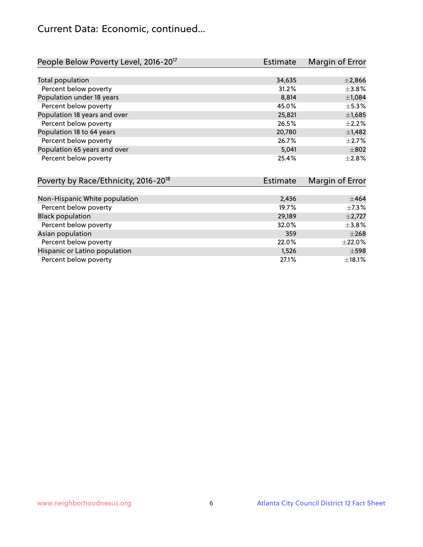## Current Data: Economic, continued...

| People Below Poverty Level, 2016-20 <sup>17</sup> | <b>Estimate</b> | Margin of Error |
|---------------------------------------------------|-----------------|-----------------|
|                                                   |                 |                 |
| Total population                                  | 34,635          | $\pm 2,866$     |
| Percent below poverty                             | 31.2%           | $\pm$ 3.8%      |
| Population under 18 years                         | 8,814           | ±1,084          |
| Percent below poverty                             | 45.0%           | $\pm$ 5.3%      |
| Population 18 years and over                      | 25,821          | $\pm$ 1,685     |
| Percent below poverty                             | 26.5%           | $\pm 2.2\%$     |
| Population 18 to 64 years                         | 20,780          | $\pm$ 1,482     |
| Percent below poverty                             | 26.7%           | $\pm 2.7\%$     |
| Population 65 years and over                      | 5,041           | $\pm$ 802       |
| Percent below poverty                             | 25.4%           | $\pm 2.8\%$     |

| Poverty by Race/Ethnicity, 2016-20 <sup>18</sup> | <b>Estimate</b> | Margin of Error |
|--------------------------------------------------|-----------------|-----------------|
|                                                  |                 |                 |
| Non-Hispanic White population                    | 2,436           | $\pm 464$       |
| Percent below poverty                            | 19.7%           | $\pm$ 7.3%      |
| <b>Black population</b>                          | 29,189          | $\pm$ 2,727     |
| Percent below poverty                            | 32.0%           | $\pm$ 3.8%      |
| Asian population                                 | 359             | $\pm 268$       |
| Percent below poverty                            | 22.0%           | $\pm 22.0\%$    |
| Hispanic or Latino population                    | 1,526           | $\pm$ 598       |
| Percent below poverty                            | 27.1%           | $\pm$ 18.1%     |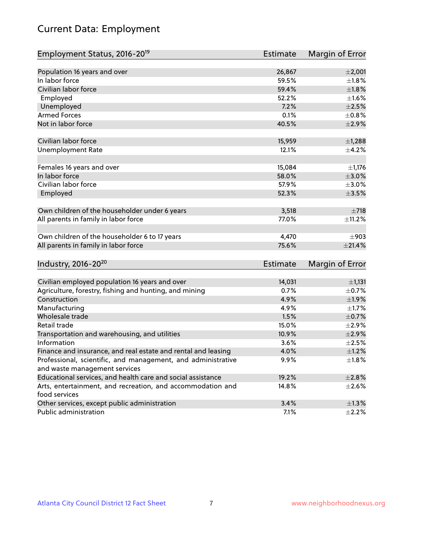# Current Data: Employment

| Employment Status, 2016-20 <sup>19</sup>                      | <b>Estimate</b> | Margin of Error |
|---------------------------------------------------------------|-----------------|-----------------|
|                                                               |                 |                 |
| Population 16 years and over                                  | 26,867          | $\pm 2,001$     |
| In labor force                                                | 59.5%           | $\pm1.8\%$      |
| Civilian labor force                                          | 59.4%           | $\pm1.8\%$      |
| Employed                                                      | 52.2%           | $\pm 1.6\%$     |
| Unemployed                                                    | 7.2%            | $\pm 2.5\%$     |
| <b>Armed Forces</b>                                           | 0.1%            | ±0.8%           |
| Not in labor force                                            | 40.5%           | $\pm 2.9\%$     |
| Civilian labor force                                          | 15,959          | $\pm$ 1,288     |
| <b>Unemployment Rate</b>                                      | 12.1%           | $\pm$ 4.2%      |
|                                                               |                 |                 |
| Females 16 years and over                                     | 15,084          | $\pm$ 1,176     |
| In labor force                                                | 58.0%           | $\pm 3.0\%$     |
| Civilian labor force                                          | 57.9%           | $\pm 3.0\%$     |
| Employed                                                      | 52.3%           | $\pm 3.5\%$     |
| Own children of the householder under 6 years                 | 3,518           | $\pm 718$       |
| All parents in family in labor force                          | 77.0%           | ±11.2%          |
|                                                               |                 |                 |
| Own children of the householder 6 to 17 years                 | 4,470           | $\pm$ 903       |
| All parents in family in labor force                          | 75.6%           | $\pm 21.4\%$    |
|                                                               |                 |                 |
| Industry, 2016-20 <sup>20</sup>                               | <b>Estimate</b> | Margin of Error |
| Civilian employed population 16 years and over                | 14,031          | ±1,131          |
| Agriculture, forestry, fishing and hunting, and mining        | 0.7%            | $\pm$ 0.7%      |
| Construction                                                  | 4.9%            | $\pm$ 1.9%      |
| Manufacturing                                                 | 4.9%            | $\pm 1.7\%$     |
| Wholesale trade                                               | 1.5%            | $\pm$ 0.7%      |
| Retail trade                                                  | 15.0%           | $\pm 2.9\%$     |
| Transportation and warehousing, and utilities                 | 10.9%           | $\pm 2.9\%$     |
| Information                                                   | 3.6%            | $\pm 2.5\%$     |
| Finance and insurance, and real estate and rental and leasing | 4.0%            | $\pm 1.2\%$     |
| Professional, scientific, and management, and administrative  | 9.9%            | $\pm 1.8\%$     |
| and waste management services                                 |                 |                 |
| Educational services, and health care and social assistance   | 19.2%           | ±2.8%           |
| Arts, entertainment, and recreation, and accommodation and    | 14.8%           | $\pm 2.6\%$     |
| food services                                                 |                 |                 |
| Other services, except public administration                  | 3.4%            | $\pm 1.3\%$     |
| Public administration                                         | 7.1%            | $\pm 2.2\%$     |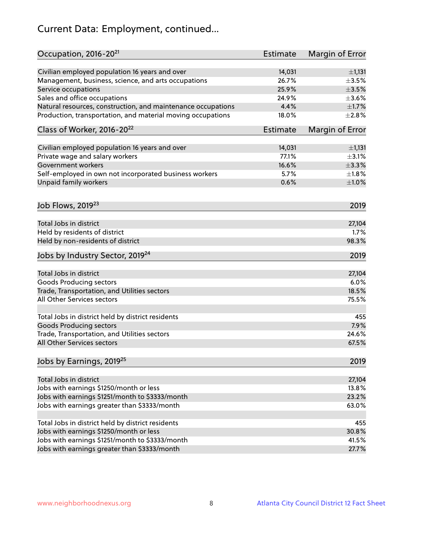# Current Data: Employment, continued...

| Occupation, 2016-20 <sup>21</sup>                            | <b>Estimate</b> | Margin of Error |
|--------------------------------------------------------------|-----------------|-----------------|
| Civilian employed population 16 years and over               | 14,031          | ±1,131          |
| Management, business, science, and arts occupations          | 26.7%           | $\pm$ 3.5%      |
| Service occupations                                          | 25.9%           | $\pm 3.5\%$     |
| Sales and office occupations                                 | 24.9%           | $\pm 3.6\%$     |
| Natural resources, construction, and maintenance occupations | 4.4%            | $\pm1.7\%$      |
| Production, transportation, and material moving occupations  | 18.0%           | ±2.8%           |
| Class of Worker, 2016-20 <sup>22</sup>                       | <b>Estimate</b> | Margin of Error |
| Civilian employed population 16 years and over               | 14,031          | $\pm$ 1,131     |
| Private wage and salary workers                              | 77.1%           | $\pm$ 3.1%      |
| Government workers                                           | 16.6%           | ±3.3%           |
| Self-employed in own not incorporated business workers       | 5.7%            | $\pm1.8\%$      |
| Unpaid family workers                                        | 0.6%            | ±1.0%           |
| Job Flows, 2019 <sup>23</sup>                                |                 | 2019            |
| Total Jobs in district                                       |                 | 27,104          |
| Held by residents of district                                |                 | 1.7%            |
| Held by non-residents of district                            |                 | 98.3%           |
| Jobs by Industry Sector, 2019 <sup>24</sup>                  |                 | 2019            |
| Total Jobs in district                                       |                 | 27,104          |
| <b>Goods Producing sectors</b>                               |                 | 6.0%            |
| Trade, Transportation, and Utilities sectors                 |                 | 18.5%           |
| All Other Services sectors                                   |                 | 75.5%           |
|                                                              |                 |                 |
| Total Jobs in district held by district residents            |                 | 455             |
| <b>Goods Producing sectors</b>                               |                 | 7.9%            |
| Trade, Transportation, and Utilities sectors                 |                 | 24.6%           |
| All Other Services sectors                                   |                 | 67.5%           |
| Jobs by Earnings, 2019 <sup>25</sup>                         |                 | 2019            |
| Total Jobs in district                                       |                 | 27,104          |
| Jobs with earnings \$1250/month or less                      |                 | 13.8%           |
| Jobs with earnings \$1251/month to \$3333/month              |                 | 23.2%           |
| Jobs with earnings greater than \$3333/month                 |                 | 63.0%           |
|                                                              |                 |                 |
| Total Jobs in district held by district residents            |                 | 455             |
| Jobs with earnings \$1250/month or less                      |                 | 30.8%           |
| Jobs with earnings \$1251/month to \$3333/month              |                 | 41.5%           |
| Jobs with earnings greater than \$3333/month                 |                 | 27.7%           |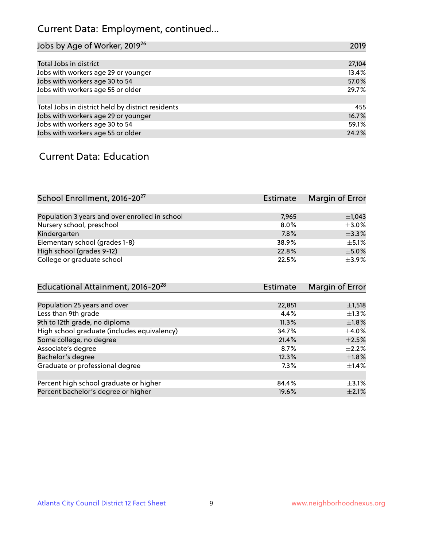# Current Data: Employment, continued...

| Jobs by Age of Worker, 2019 <sup>26</sup>         | 2019   |
|---------------------------------------------------|--------|
|                                                   |        |
| Total Jobs in district                            | 27,104 |
| Jobs with workers age 29 or younger               | 13.4%  |
| Jobs with workers age 30 to 54                    | 57.0%  |
| Jobs with workers age 55 or older                 | 29.7%  |
|                                                   |        |
| Total Jobs in district held by district residents | 455    |
| Jobs with workers age 29 or younger               | 16.7%  |
| Jobs with workers age 30 to 54                    | 59.1%  |
| Jobs with workers age 55 or older                 | 24.2%  |

#### Current Data: Education

| School Enrollment, 2016-20 <sup>27</sup>       | <b>Estimate</b> | Margin of Error |
|------------------------------------------------|-----------------|-----------------|
|                                                |                 |                 |
| Population 3 years and over enrolled in school | 7,965           | $\pm$ 1,043     |
| Nursery school, preschool                      | $8.0\%$         | $\pm$ 3.0%      |
| Kindergarten                                   | 7.8%            | $\pm$ 3.3%      |
| Elementary school (grades 1-8)                 | 38.9%           | $\pm$ 5.1%      |
| High school (grades 9-12)                      | 22.8%           | $\pm$ 5.0%      |
| College or graduate school                     | 22.5%           | $\pm$ 3.9%      |

| Educational Attainment, 2016-20 <sup>28</sup> | <b>Estimate</b> | Margin of Error |
|-----------------------------------------------|-----------------|-----------------|
|                                               |                 |                 |
| Population 25 years and over                  | 22,851          | $\pm$ 1,518     |
| Less than 9th grade                           | 4.4%            | $\pm 1.3\%$     |
| 9th to 12th grade, no diploma                 | 11.3%           | $\pm1.8\%$      |
| High school graduate (includes equivalency)   | 34.7%           | $\pm$ 4.0%      |
| Some college, no degree                       | 21.4%           | $\pm 2.5\%$     |
| Associate's degree                            | 8.7%            | $\pm 2.2\%$     |
| Bachelor's degree                             | 12.3%           | $\pm1.8\%$      |
| Graduate or professional degree               | 7.3%            | $\pm$ 1.4%      |
|                                               |                 |                 |
| Percent high school graduate or higher        | 84.4%           | $\pm$ 3.1%      |
| Percent bachelor's degree or higher           | 19.6%           | $\pm 2.1\%$     |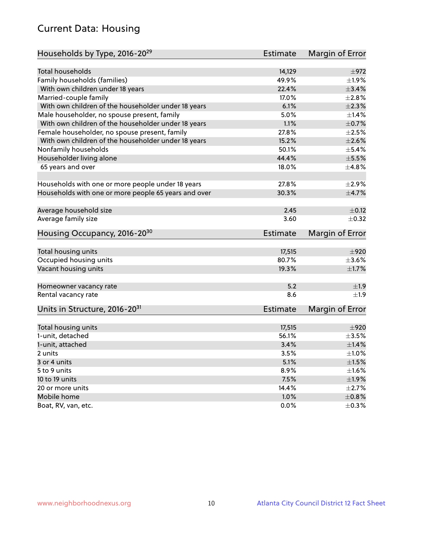# Current Data: Housing

| Households by Type, 2016-20 <sup>29</sup>            | <b>Estimate</b> | Margin of Error |
|------------------------------------------------------|-----------------|-----------------|
|                                                      |                 |                 |
| <b>Total households</b>                              | 14,129          | $\pm$ 972       |
| Family households (families)                         | 49.9%           | ±1.9%           |
| With own children under 18 years                     | 22.4%           | $\pm$ 3.4%      |
| Married-couple family                                | 17.0%           | ±2.8%           |
| With own children of the householder under 18 years  | 6.1%            | $\pm 2.3\%$     |
| Male householder, no spouse present, family          | 5.0%            | $\pm$ 1.4%      |
| With own children of the householder under 18 years  | 1.1%            | $\pm$ 0.7%      |
| Female householder, no spouse present, family        | 27.8%           | $\pm 2.5\%$     |
| With own children of the householder under 18 years  | 15.2%           | $\pm 2.6\%$     |
| Nonfamily households                                 | 50.1%           | $\pm$ 5.4%      |
| Householder living alone                             | 44.4%           | $\pm$ 5.5%      |
| 65 years and over                                    | 18.0%           | ±4.8%           |
|                                                      |                 |                 |
| Households with one or more people under 18 years    | 27.8%           | $\pm 2.9\%$     |
| Households with one or more people 65 years and over | 30.3%           | $\pm$ 4.7%      |
|                                                      |                 |                 |
| Average household size                               | 2.45            | $\pm$ 0.12      |
| Average family size                                  | 3.60            | $\pm$ 0.32      |
| Housing Occupancy, 2016-20 <sup>30</sup>             | <b>Estimate</b> | Margin of Error |
|                                                      |                 |                 |
| Total housing units                                  | 17,515          | $\pm 920$       |
| Occupied housing units                               | 80.7%           | $\pm 3.6\%$     |
| Vacant housing units                                 | 19.3%           | $\pm1.7\%$      |
| Homeowner vacancy rate                               | 5.2             | $\pm$ 1.9       |
| Rental vacancy rate                                  | 8.6             | $\pm 1.9$       |
|                                                      |                 |                 |
| Units in Structure, 2016-20 <sup>31</sup>            | <b>Estimate</b> | Margin of Error |
| Total housing units                                  | 17,515          | $\pm 920$       |
| 1-unit, detached                                     | 56.1%           | $\pm 3.5\%$     |
| 1-unit, attached                                     | 3.4%            | $\pm 1.4\%$     |
| 2 units                                              | 3.5%            | $\pm 1.0\%$     |
| 3 or 4 units                                         | 5.1%            | $\pm 1.5\%$     |
| 5 to 9 units                                         | 8.9%            | $\pm 1.6\%$     |
| 10 to 19 units                                       | 7.5%            | ±1.9%           |
| 20 or more units                                     | 14.4%           | $\pm 2.7\%$     |
| Mobile home                                          | 1.0%            | $\pm$ 0.8%      |
|                                                      |                 | $\pm$ 0.3%      |
| Boat, RV, van, etc.                                  | $0.0\%$         |                 |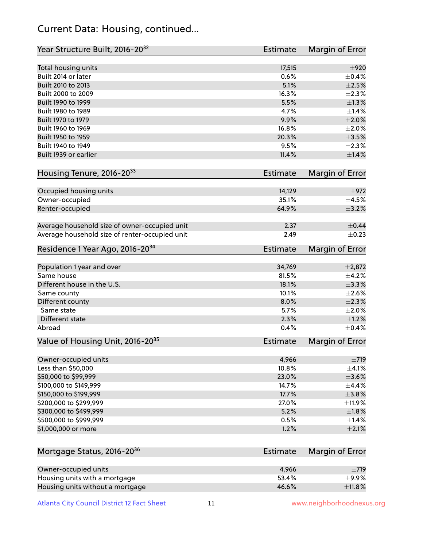## Current Data: Housing, continued...

| Year Structure Built, 2016-20 <sup>32</sup>    | <b>Estimate</b> | Margin of Error |
|------------------------------------------------|-----------------|-----------------|
| Total housing units                            | 17,515          | $\pm 920$       |
| Built 2014 or later                            | 0.6%            | $\pm$ 0.4%      |
| Built 2010 to 2013                             | 5.1%            | $\pm 2.5\%$     |
| Built 2000 to 2009                             | 16.3%           | $\pm 2.3\%$     |
| Built 1990 to 1999                             | 5.5%            | $\pm 1.3\%$     |
| Built 1980 to 1989                             | 4.7%            | $\pm$ 1.4%      |
| Built 1970 to 1979                             | 9.9%            | $\pm 2.0\%$     |
| Built 1960 to 1969                             | 16.8%           | $\pm 2.0\%$     |
| Built 1950 to 1959                             | 20.3%           | $\pm$ 3.5%      |
| Built 1940 to 1949                             | 9.5%            | $\pm 2.3\%$     |
| Built 1939 or earlier                          | 11.4%           | $\pm 1.4\%$     |
| Housing Tenure, 2016-2033                      | <b>Estimate</b> | Margin of Error |
| Occupied housing units                         | 14,129          | $\pm$ 972       |
| Owner-occupied                                 | 35.1%           | $\pm$ 4.5%      |
| Renter-occupied                                | 64.9%           | $\pm$ 3.2%      |
|                                                |                 |                 |
| Average household size of owner-occupied unit  | 2.37            | $\pm$ 0.44      |
| Average household size of renter-occupied unit | 2.49            | $\pm$ 0.23      |
| Residence 1 Year Ago, 2016-20 <sup>34</sup>    | <b>Estimate</b> | Margin of Error |
| Population 1 year and over                     | 34,769          | $\pm 2,872$     |
| Same house                                     | 81.5%           | $\pm$ 4.2%      |
| Different house in the U.S.                    | 18.1%           | $\pm$ 3.3%      |
| Same county                                    | 10.1%           | $\pm 2.6\%$     |
| Different county                               | 8.0%            | $\pm 2.3\%$     |
| Same state                                     | 5.7%            | $\pm 2.0\%$     |
| Different state                                | 2.3%            | $\pm 1.2\%$     |
| Abroad                                         | 0.4%            | $\pm$ 0.4%      |
| Value of Housing Unit, 2016-20 <sup>35</sup>   | <b>Estimate</b> | Margin of Error |
| Owner-occupied units                           | 4,966           | $\pm 719$       |
| Less than \$50,000                             | 10.8%           | $\pm$ 4.1%      |
| \$50,000 to \$99,999                           | 23.0%           | $\pm 3.6\%$     |
| \$100,000 to \$149,999                         | 14.7%           | ±4.4%           |
| \$150,000 to \$199,999                         | 17.7%           | $\pm$ 3.8%      |
| \$200,000 to \$299,999                         | 27.0%           | ±11.9%          |
| \$300,000 to \$499,999                         | 5.2%            | $\pm 1.8\%$     |
| \$500,000 to \$999,999                         | 0.5%            | $\pm$ 1.4%      |
| \$1,000,000 or more                            | 1.2%            | $\pm 2.1\%$     |
|                                                |                 |                 |
| Mortgage Status, 2016-20 <sup>36</sup>         | <b>Estimate</b> | Margin of Error |
| Owner-occupied units                           | 4,966           | $\pm 719$       |
| Housing units with a mortgage                  | 53.4%           | $\pm$ 9.9%      |
| Housing units without a mortgage               | 46.6%           | ±11.8%          |

Housing units without a mortgage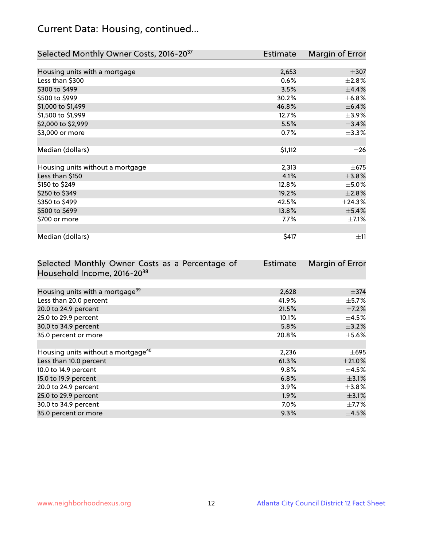# Current Data: Housing, continued...

| Selected Monthly Owner Costs, 2016-20 <sup>37</sup> | Estimate | Margin of Error |
|-----------------------------------------------------|----------|-----------------|
|                                                     |          |                 |
| Housing units with a mortgage                       | 2,653    | $\pm$ 307       |
| Less than \$300                                     | 0.6%     | $\pm 2.8\%$     |
| \$300 to \$499                                      | 3.5%     | ±4.4%           |
| \$500 to \$999                                      | 30.2%    | $\pm$ 6.8%      |
| \$1,000 to \$1,499                                  | 46.8%    | $\pm$ 6.4%      |
| \$1,500 to \$1,999                                  | 12.7%    | $\pm$ 3.9%      |
| \$2,000 to \$2,999                                  | 5.5%     | ±3.4%           |
| \$3,000 or more                                     | 0.7%     | $\pm$ 3.3%      |
|                                                     |          |                 |
| Median (dollars)                                    | \$1,112  | $\pm 26$        |
|                                                     |          |                 |
| Housing units without a mortgage                    | 2,313    | $\pm$ 675       |
| Less than \$150                                     | 4.1%     | ±3.8%           |
| \$150 to \$249                                      | 12.8%    | $\pm$ 5.0%      |
| \$250 to \$349                                      | 19.2%    | ±2.8%           |
| \$350 to \$499                                      | 42.5%    | ±24.3%          |
| \$500 to \$699                                      | 13.8%    | $\pm$ 5.4%      |
| \$700 or more                                       | 7.7%     | $\pm$ 7.1%      |
|                                                     |          |                 |
| Median (dollars)                                    | \$417    | $\pm$ 11        |

| Selected Monthly Owner Costs as a Percentage of | Estimate | Margin of Error |
|-------------------------------------------------|----------|-----------------|
| Household Income, 2016-20 <sup>38</sup>         |          |                 |
|                                                 |          |                 |
| Housing units with a mortgage <sup>39</sup>     | 2,628    | $\pm$ 374       |
| Less than 20.0 percent                          | 41.9%    | $\pm$ 5.7%      |
| 20.0 to 24.9 percent                            | 21.5%    | $\pm$ 7.2%      |
| 25.0 to 29.9 percent                            | 10.1%    | $\pm$ 4.5%      |
| 30.0 to 34.9 percent                            | 5.8%     | $\pm$ 3.2%      |
| 35.0 percent or more                            | 20.8%    | $\pm$ 5.6%      |
|                                                 |          |                 |
| Housing units without a mortgage <sup>40</sup>  | 2,236    | $\pm 695$       |
| Less than 10.0 percent                          | 61.3%    | $\pm 21.0\%$    |
| 10.0 to 14.9 percent                            | 9.8%     | $\pm$ 4.5%      |
| 15.0 to 19.9 percent                            | 6.8%     | $\pm$ 3.1%      |
| 20.0 to 24.9 percent                            | 3.9%     | $\pm 3.8\%$     |
| 25.0 to 29.9 percent                            | 1.9%     | $\pm$ 3.1%      |
| 30.0 to 34.9 percent                            | 7.0%     | $\pm$ 7.7%      |
| 35.0 percent or more                            | 9.3%     | $\pm$ 4.5%      |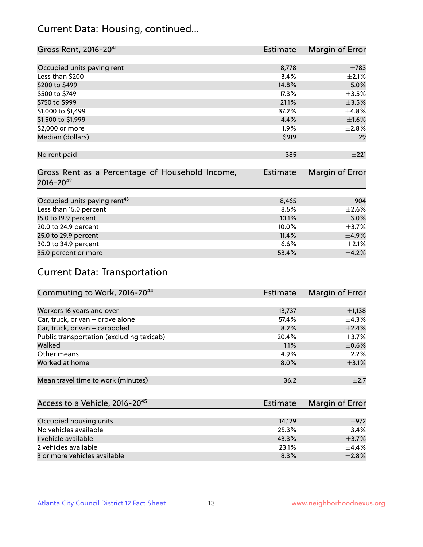## Current Data: Housing, continued...

| Gross Rent, 2016-20 <sup>41</sup>               | <b>Estimate</b> | Margin of Error |
|-------------------------------------------------|-----------------|-----------------|
|                                                 |                 |                 |
| Occupied units paying rent                      | 8,778           | $\pm 783$       |
| Less than \$200                                 | 3.4%            | $\pm 2.1\%$     |
| \$200 to \$499                                  | 14.8%           | $\pm$ 5.0%      |
| \$500 to \$749                                  | 17.3%           | $\pm$ 3.5%      |
| \$750 to \$999                                  | 21.1%           | $\pm 3.5\%$     |
| \$1,000 to \$1,499                              | 37.2%           | $\pm$ 4.8%      |
| \$1,500 to \$1,999                              | 4.4%            | $\pm$ 1.6%      |
| \$2,000 or more                                 | $1.9\%$         | ±2.8%           |
| Median (dollars)                                | \$919           | ±29             |
|                                                 |                 |                 |
| No rent paid                                    | 385             | ±221            |
|                                                 |                 |                 |
| Gross Rent as a Percentage of Household Income, | <b>Estimate</b> | Margin of Error |
| $2016 - 20^{42}$                                |                 |                 |
|                                                 |                 |                 |
| Occupied units paying rent <sup>43</sup>        | 8,465           | $\pm$ 904       |
| Less than 15.0 percent                          | 8.5%            | $\pm 2.6\%$     |
| 15.0 to 19.9 percent                            | 10.1%           | $\pm 3.0\%$     |
| 20.0 to 24.9 percent                            | 10.0%           | $\pm$ 3.7%      |
| 25.0 to 29.9 percent                            | 11.4%           | $\pm$ 4.9%      |
| 30.0 to 34.9 percent                            | 6.6%            | $\pm 2.1\%$     |
| 35.0 percent or more                            | 53.4%           | $\pm$ 4.2%      |

# Current Data: Transportation

| Commuting to Work, 2016-20 <sup>44</sup>  | <b>Estimate</b> | Margin of Error |
|-------------------------------------------|-----------------|-----------------|
|                                           |                 |                 |
| Workers 16 years and over                 | 13,737          | $\pm$ 1,138     |
| Car, truck, or van - drove alone          | 57.4%           | $\pm$ 4.3%      |
| Car, truck, or van - carpooled            | 8.2%            | $\pm 2.4\%$     |
| Public transportation (excluding taxicab) | 20.4%           | $\pm$ 3.7%      |
| Walked                                    | 1.1%            | $\pm$ 0.6%      |
| Other means                               | 4.9%            | $\pm 2.2\%$     |
| Worked at home                            | 8.0%            | $\pm$ 3.1%      |
|                                           |                 |                 |
| Mean travel time to work (minutes)        | 36.2            | $+2.7$          |

| Access to a Vehicle, 2016-20 <sup>45</sup> | Estimate | Margin of Error |
|--------------------------------------------|----------|-----------------|
|                                            |          |                 |
| Occupied housing units                     | 14.129   | $+972$          |
| No vehicles available                      | 25.3%    | $+3.4%$         |
| 1 vehicle available                        | 43.3%    | $\pm$ 3.7%      |
| 2 vehicles available                       | 23.1%    | $+4.4%$         |
| 3 or more vehicles available               | 8.3%     | $+2.8%$         |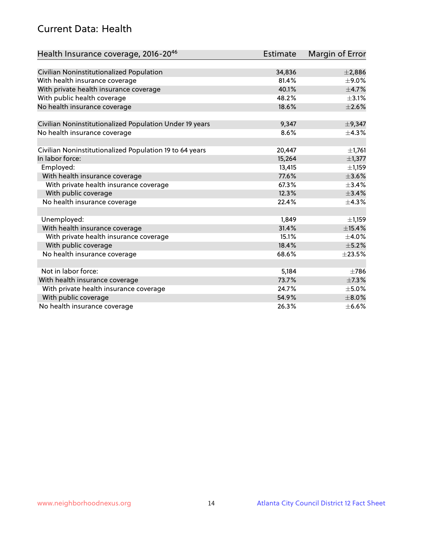## Current Data: Health

| Health Insurance coverage, 2016-2046                    | Estimate | Margin of Error |
|---------------------------------------------------------|----------|-----------------|
|                                                         |          |                 |
| Civilian Noninstitutionalized Population                | 34,836   | ±2,886          |
| With health insurance coverage                          | 81.4%    | $\pm$ 9.0%      |
| With private health insurance coverage                  | 40.1%    | $\pm$ 4.7%      |
| With public health coverage                             | 48.2%    | $\pm$ 3.1%      |
| No health insurance coverage                            | 18.6%    | $\pm 2.6\%$     |
| Civilian Noninstitutionalized Population Under 19 years | 9,347    | $\pm$ 9,347     |
| No health insurance coverage                            | 8.6%     | ±4.3%           |
|                                                         |          |                 |
| Civilian Noninstitutionalized Population 19 to 64 years | 20,447   | $\pm$ 1,761     |
| In labor force:                                         | 15,264   | $\pm$ 1,377     |
| Employed:                                               | 13,415   | ±1,159          |
| With health insurance coverage                          | 77.6%    | $\pm 3.6\%$     |
| With private health insurance coverage                  | 67.3%    | $\pm$ 3.4%      |
| With public coverage                                    | 12.3%    | ±3.4%           |
| No health insurance coverage                            | 22.4%    | ±4.3%           |
| Unemployed:                                             | 1,849    | ±1,159          |
| With health insurance coverage                          | 31.4%    | ±15.4%          |
| With private health insurance coverage                  | 15.1%    | $\pm$ 4.0%      |
| With public coverage                                    | 18.4%    | $\pm$ 5.2%      |
| No health insurance coverage                            | 68.6%    | $\pm 23.5\%$    |
|                                                         |          |                 |
| Not in labor force:                                     | 5,184    | $\pm 786$       |
| With health insurance coverage                          | 73.7%    | $\pm$ 7.3%      |
| With private health insurance coverage                  | 24.7%    | $\pm$ 5.0%      |
| With public coverage                                    | 54.9%    | $\pm 8.0\%$     |
| No health insurance coverage                            | 26.3%    | $\pm$ 6.6%      |